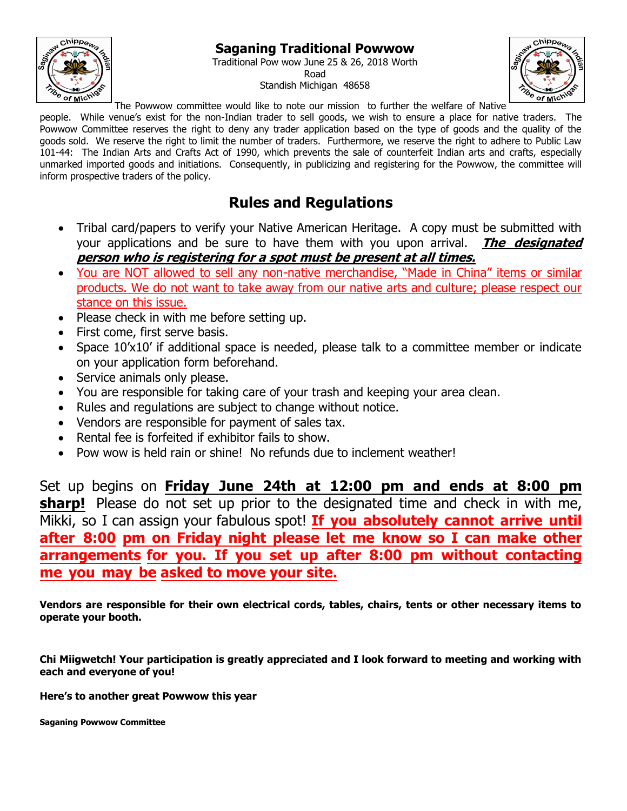## **Saganing Traditional Powwow**



Traditional Pow wow June 25 & 26, 2018 Worth Road Standish Michigan 48658



The Powwow committee would like to note our mission to further the welfare of Native

people. While venue's exist for the non-Indian trader to sell goods, we wish to ensure a place for native traders. The Powwow Committee reserves the right to deny any trader application based on the type of goods and the quality of the goods sold. We reserve the right to limit the number of traders. Furthermore, we reserve the right to adhere to Public Law 101-44: The Indian Arts and Crafts Act of 1990, which prevents the sale of counterfeit Indian arts and crafts, especially unmarked imported goods and initiations. Consequently, in publicizing and registering for the Powwow, the committee will inform prospective traders of the policy.

## **Rules and Regulations**

- Tribal card/papers to verify your Native American Heritage. A copy must be submitted with your applications and be sure to have them with you upon arrival. **The designated person who is registering for a spot must be present at all times.**
- You are NOT allowed to sell any non-native merchandise, "Made in China" items or similar products. We do not want to take away from our native arts and culture; please respect our stance on this issue.
- Please check in with me before setting up.
- First come, first serve basis.
- Space 10'x10' if additional space is needed, please talk to a committee member or indicate on your application form beforehand.
- Service animals only please.
- You are responsible for taking care of your trash and keeping your area clean.
- Rules and regulations are subject to change without notice.
- Vendors are responsible for payment of sales tax.
- Rental fee is forfeited if exhibitor fails to show.
- Pow wow is held rain or shine! No refunds due to inclement weather!

Set up begins on **Friday June 24th at 12:00 pm and ends at 8:00 pm sharp!** Please do not set up prior to the designated time and check in with me, Mikki, so I can assign your fabulous spot! **If you absolutely cannot arrive until after 8:00 pm on Friday night please let me know so I can make other arrangements for you. If you set up after 8:00 pm without contacting me you may be asked to move your site.** 

**Vendors are responsible for their own electrical cords, tables, chairs, tents or other necessary items to operate your booth.** 

**Chi Miigwetch! Your participation is greatly appreciated and I look forward to meeting and working with each and everyone of you!** 

**Here's to another great Powwow this year**

**Saganing Powwow Committee**